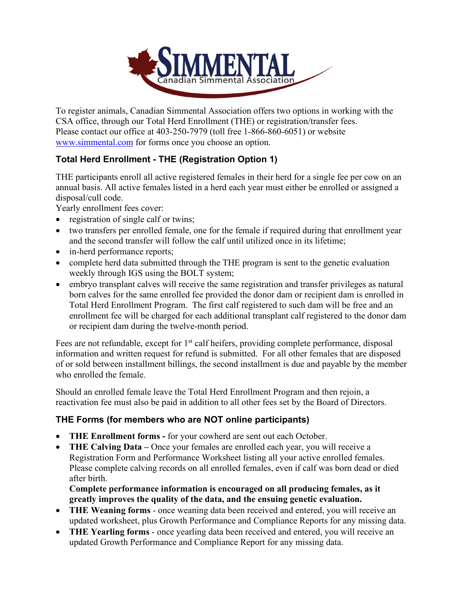

To register animals, Canadian Simmental Association offers two options in working with the CSA office, through our Total Herd Enrollment (THE) or registration/transfer fees. Please contact our office at 403-250-7979 (toll free 1-866-860-6051) or website [www.simmental.com](http://www.simmental.com/) for forms once you choose an option.

# **Total Herd Enrollment - THE (Registration Option 1)**

THE participants enroll all active registered females in their herd for a single fee per cow on an annual basis. All active females listed in a herd each year must either be enrolled or assigned a disposal/cull code.

Yearly enrollment fees cover:

- registration of single calf or twins;
- two transfers per enrolled female, one for the female if required during that enrollment year and the second transfer will follow the calf until utilized once in its lifetime;
- in-herd performance reports;
- complete herd data submitted through the THE program is sent to the genetic evaluation weekly through IGS using the BOLT system;
- embryo transplant calves will receive the same registration and transfer privileges as natural born calves for the same enrolled fee provided the donor dam or recipient dam is enrolled in Total Herd Enrollment Program. The first calf registered to such dam will be free and an enrollment fee will be charged for each additional transplant calf registered to the donor dam or recipient dam during the twelve-month period.

Fees are not refundable, except for 1<sup>st</sup> calf heifers, providing complete performance, disposal information and written request for refund is submitted. For all other females that are disposed of or sold between installment billings, the second installment is due and payable by the member who enrolled the female.

Should an enrolled female leave the Total Herd Enrollment Program and then rejoin, a reactivation fee must also be paid in addition to all other fees set by the Board of Directors.

### **THE Forms (for members who are NOT online participants)**

- **THE Enrollment forms -** for your cowherd are sent out each October.
- **THE Calving Data –** Once your females are enrolled each year, you will receive a Registration Form and Performance Worksheet listing all your active enrolled females. Please complete calving records on all enrolled females, even if calf was born dead or died after birth.

**Complete performance information is encouraged on all producing females, as it greatly improves the quality of the data, and the ensuing genetic evaluation.** 

- **THE Weaning forms**  once weaning data been received and entered, you will receive an updated worksheet, plus Growth Performance and Compliance Reports for any missing data.
- **THE Yearling forms**  once yearling data been received and entered, you will receive an updated Growth Performance and Compliance Report for any missing data.